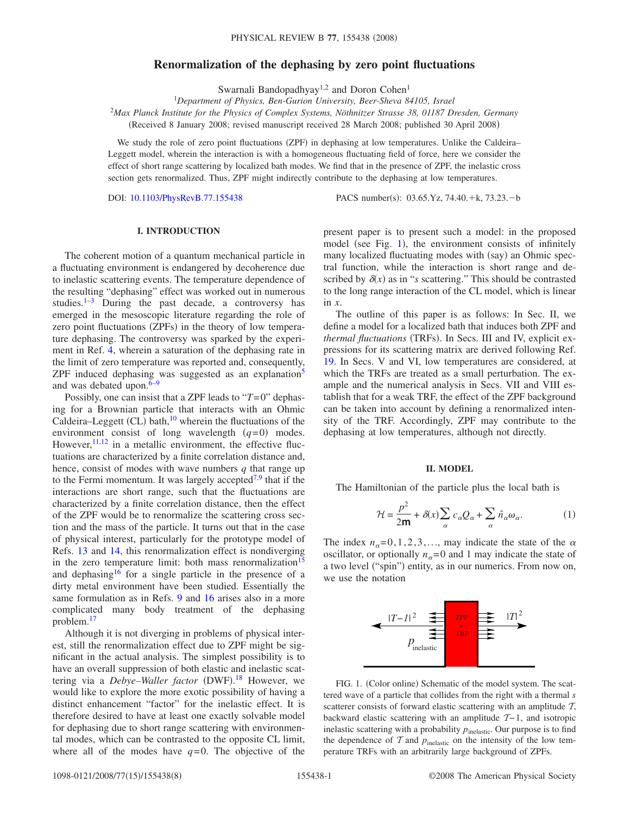# **Renormalization of the dephasing by zero point fluctuations**

Swarnali Bandopadhyay<sup>1,2</sup> and Doron Cohen<sup>1</sup>

1 *Department of Physics, Ben-Gurion University, Beer-Sheva 84105, Israel*

<sup>2</sup>*Max Planck Institute for the Physics of Complex Systems, Nöthnitzer Strasse 38, 01187 Dresden, Germany*

(Received 8 January 2008; revised manuscript received 28 March 2008; published 30 April 2008)

We study the role of zero point fluctuations (ZPF) in dephasing at low temperatures. Unlike the Caldeira– Leggett model, wherein the interaction is with a homogeneous fluctuating field of force, here we consider the effect of short range scattering by localized bath modes. We find that in the presence of ZPF, the inelastic cross section gets renormalized. Thus, ZPF might indirectly contribute to the dephasing at low temperatures.

DOI: [10.1103/PhysRevB.77.155438](http://dx.doi.org/10.1103/PhysRevB.77.155438)

:  $03.65$ .Yz, 74.40. + k, 73.23. - b

# **I. INTRODUCTION**

The coherent motion of a quantum mechanical particle in a fluctuating environment is endangered by decoherence due to inelastic scattering events. The temperature dependence of the resulting "dephasing" effect was worked out in numerous studies. $1-3$  During the past decade, a controversy has emerged in the mesoscopic literature regarding the role of zero point fluctuations (ZPFs) in the theory of low temperature dephasing. The controversy was sparked by the experiment in Ref. [4,](#page-7-2) wherein a saturation of the dephasing rate in the limit of zero temperature was reported and, consequently, ZPF induced dephasing was suggested as an explanation<sup>5</sup> and was debated upon. $6-9$  $6-9$ 

Possibly, one can insist that a ZPF leads to "*T*= 0" dephasing for a Brownian particle that interacts with an Ohmic Caldeira–Leggett (CL) bath,<sup>10</sup> wherein the fluctuations of the environment consist of long wavelength  $(q=0)$  modes. However,  $11,12$  $11,12$  in a metallic environment, the effective fluctuations are characterized by a finite correlation distance and, hence, consist of modes with wave numbers *q* that range up to the Fermi momentum. It was largely accepted<sup>7[,9](#page-7-5)</sup> that if the interactions are short range, such that the fluctuations are characterized by a finite correlation distance, then the effect of the ZPF would be to renormalize the scattering cross section and the mass of the particle. It turns out that in the case of physical interest, particularly for the prototype model of Refs. [13](#page-7-10) and [14,](#page-7-11) this renormalization effect is nondiverging in the zero temperature limit: both mass renormalization<sup>15</sup> and dephasing<sup>16</sup> for a single particle in the presence of a dirty metal environment have been studied. Essentially the same formulation as in Refs. [9](#page-7-5) and [16](#page-7-13) arises also in a more complicated many body treatment of the dephasing problem.<sup>17</sup>

Although it is not diverging in problems of physical interest, still the renormalization effect due to ZPF might be significant in the actual analysis. The simplest possibility is to have an overall suppression of both elastic and inelastic scattering via a *Debye-Waller factor* (DWF).<sup>[18](#page-7-15)</sup> However, we would like to explore the more exotic possibility of having a distinct enhancement "factor" for the inelastic effect. It is therefore desired to have at least one exactly solvable model for dephasing due to short range scattering with environmental modes, which can be contrasted to the opposite CL limit, where all of the modes have  $q=0$ . The objective of the present paper is to present such a model: in the proposed model (see Fig. [1](#page-0-0)), the environment consists of infinitely many localized fluctuating modes with (say) an Ohmic spectral function, while the interaction is short range and described by  $\delta(x)$  as in "*s* scattering." This should be contrasted to the long range interaction of the CL model, which is linear in *x*.

The outline of this paper is as follows: In Sec. II, we define a model for a localized bath that induces both ZPF and thermal fluctuations (TRFs). In Secs. III and IV, explicit expressions for its scattering matrix are derived following Ref. [19.](#page-7-16) In Secs. V and VI, low temperatures are considered, at which the TRFs are treated as a small perturbation. The example and the numerical analysis in Secs. VII and VIII establish that for a weak TRF, the effect of the ZPF background can be taken into account by defining a renormalized intensity of the TRF. Accordingly, ZPF may contribute to the dephasing at low temperatures, although not directly.

### **II. MODEL**

The Hamiltonian of the particle plus the local bath is

$$
\mathcal{H} = \frac{p^2}{2m} + \delta(x) \sum_{\alpha} c_{\alpha} Q_{\alpha} + \sum_{\alpha} \hat{n}_{\alpha} \omega_{\alpha}.
$$
 (1)

The index  $n_{\alpha}$ = 0, 1, 2, 3,..., may indicate the state of the  $\alpha$ oscillator, or optionally  $n_{\alpha}=0$  and 1 may indicate the state of a two level ("spin") entity, as in our numerics. From now on, we use the notation

<span id="page-0-0"></span>

FIG. 1. (Color online) Schematic of the model system. The scattered wave of a particle that collides from the right with a thermal *s* scatterer consists of forward elastic scattering with an amplitude  $T$ , backward elastic scattering with an amplitude  $T-1$ , and isotropic inelastic scattering with a probability  $p_{\text{inelastic}}$ . Our purpose is to find the dependence of  $T$  and  $p_{\text{inelastic}}$  on the intensity of the low temperature TRFs with an arbitrarily large background of ZPFs.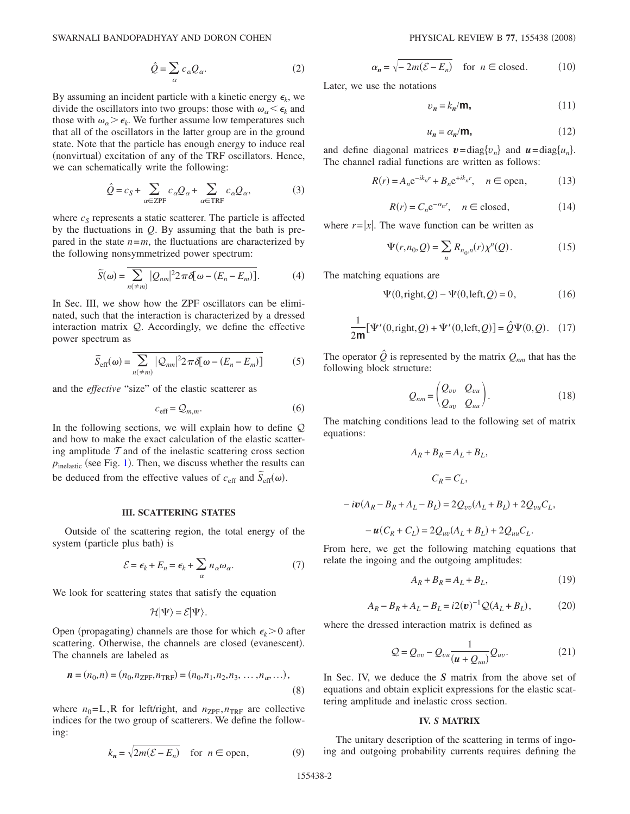$$
\hat{Q} = \sum_{\alpha} c_{\alpha} Q_{\alpha}.
$$
 (2)

By assuming an incident particle with a kinetic energy  $\epsilon_k$ , we divide the oscillators into two groups: those with  $\omega_{\alpha} < \epsilon_k$  and those with  $\omega_{\alpha} > \epsilon_k$ . We further assume low temperatures such that all of the oscillators in the latter group are in the ground state. Note that the particle has enough energy to induce real (nonvirtual) excitation of any of the TRF oscillators. Hence, we can schematically write the following:

$$
\hat{Q} = c_S + \sum_{\alpha \in \text{ZPF}} c_{\alpha} Q_{\alpha} + \sum_{\alpha \in \text{TRF}} c_{\alpha} Q_{\alpha},\tag{3}
$$

where  $c<sub>S</sub>$  represents a static scatterer. The particle is affected by the fluctuations in *Q*. By assuming that the bath is prepared in the state  $n=m$ , the fluctuations are characterized by the following nonsymmetrized power spectrum:

$$
\widetilde{S}(\omega) = \sum_{n(\neq m)} \left| Q_{nm} \right|^2 2 \pi \delta[\omega - (E_n - E_m)]. \tag{4}
$$

In Sec. III, we show how the ZPF oscillators can be eliminated, such that the interaction is characterized by a dressed interaction matrix Q. Accordingly, we define the effective power spectrum as

$$
\widetilde{S}_{\rm eff}(\omega) = \overline{\sum_{n(\neq m)} |\mathcal{Q}_{nm}|^2 2\pi \delta[\omega - (E_n - E_m)]}
$$
 (5)

and the *effective* "size" of the elastic scatterer as

$$
c_{\rm eff} = \mathcal{Q}_{m,m}.\tag{6}
$$

In the following sections, we will explain how to define  $Q$ and how to make the exact calculation of the elastic scattering amplitude  $T$  and of the inelastic scattering cross section  $p_{\text{inelastic}}$  (see Fig. [1](#page-0-0)). Then, we discuss whether the results can be deduced from the effective values of  $c_{\text{eff}}$  and  $\tilde{S}_{\text{eff}}(\omega)$ .

### **III. SCATTERING STATES**

Outside of the scattering region, the total energy of the system (particle plus bath) is

$$
\mathcal{E} = \epsilon_k + E_n = \epsilon_k + \sum_{\alpha} n_{\alpha} \omega_{\alpha}.
$$
 (7)

We look for scattering states that satisfy the equation

$$
\mathcal{H}|\Psi\rangle = \mathcal{E}|\Psi\rangle.
$$

Open (propagating) channels are those for which  $\epsilon_k$  > 0 after scattering. Otherwise, the channels are closed (evanescent). The channels are labeled as

$$
\mathbf{n} = (n_0, n) = (n_0, n_{\text{ZPF}}, n_{\text{TRF}}) = (n_0, n_1, n_2, n_3, \dots, n_\alpha, \dots),
$$
\n(8)

where  $n_0=L$ , R for left/right, and  $n_{\text{ZPF}}$ ,  $n_{\text{TRF}}$  are collective indices for the two group of scatterers. We define the following:

$$
k_n = \sqrt{2m(\mathcal{E} - E_n)} \quad \text{for } n \in \text{open},\tag{9}
$$

$$
\alpha_n = \sqrt{-2m(\mathcal{E} - E_n)} \quad \text{for } n \in \text{closed.} \tag{10}
$$

Later, we use the notations

$$
v_n = k_n / \mathbf{m},\tag{11}
$$

$$
u_n = \alpha_n / \mathbf{m},\tag{12}
$$

and define diagonal matrices  $\mathbf{v} = \text{diag}\{v_n\}$  and  $\mathbf{u} = \text{diag}\{u_n\}$ . The channel radial functions are written as follows:

$$
R(r) = A_n e^{-ik_n r} + B_n e^{+ik_n r}, \quad n \in \text{open}, \tag{13}
$$

$$
R(r) = C_n e^{-\alpha_n r}, \quad n \in \text{closed}, \tag{14}
$$

where  $r = |x|$ . The wave function can be written as

$$
\Psi(r, n_0, Q) = \sum_{n} R_{n_0, n}(r) \chi^{n}(Q).
$$
 (15)

The matching equations are

$$
\Psi(0, \text{right}, Q) - \Psi(0, \text{left}, Q) = 0,\tag{16}
$$

$$
\frac{1}{2m}[\Psi'(0, \text{right}, Q) + \Psi'(0, \text{left}, Q)] = \hat{Q}\Psi(0, Q). \quad (17)
$$

The operator  $\hat{Q}$  is represented by the matrix  $Q_{nm}$  that has the following block structure:

$$
Q_{nm} = \begin{pmatrix} Q_{vv} & Q_{vu} \\ Q_{uv} & Q_{uu} \end{pmatrix}.
$$
 (18)

The matching conditions lead to the following set of matrix equations:

$$
A_R + B_R = A_L + B_L,
$$
  
\n
$$
C_R = C_L,
$$
  
\n
$$
-i\mathbf{v}(A_R - B_R + A_L - B_L) = 2Q_{vv}(A_L + B_L) + 2Q_{vu}C_L,
$$
  
\n
$$
-u(C_R + C_L) = 2Q_{uv}(A_L + B_L) + 2Q_{uu}C_L.
$$

From here, we get the following matching equations that relate the ingoing and the outgoing amplitudes:

$$
A_R + B_R = A_L + B_L,\tag{19}
$$

$$
A_R - B_R + A_L - B_L = i2(\mathbf{v})^{-1} \mathcal{Q}(A_L + B_L),\tag{20}
$$

<span id="page-1-0"></span>where the dressed interaction matrix is defined as

$$
Q = Q_{vv} - Q_{vu}\frac{1}{(u + Q_{uu})}Q_{uv}.
$$
 (21)

In Sec. IV, we deduce the *S* matrix from the above set of equations and obtain explicit expressions for the elastic scattering amplitude and inelastic cross section.

#### **IV.** *S* **MATRIX**

The unitary description of the scattering in terms of ingoing and outgoing probability currents requires defining the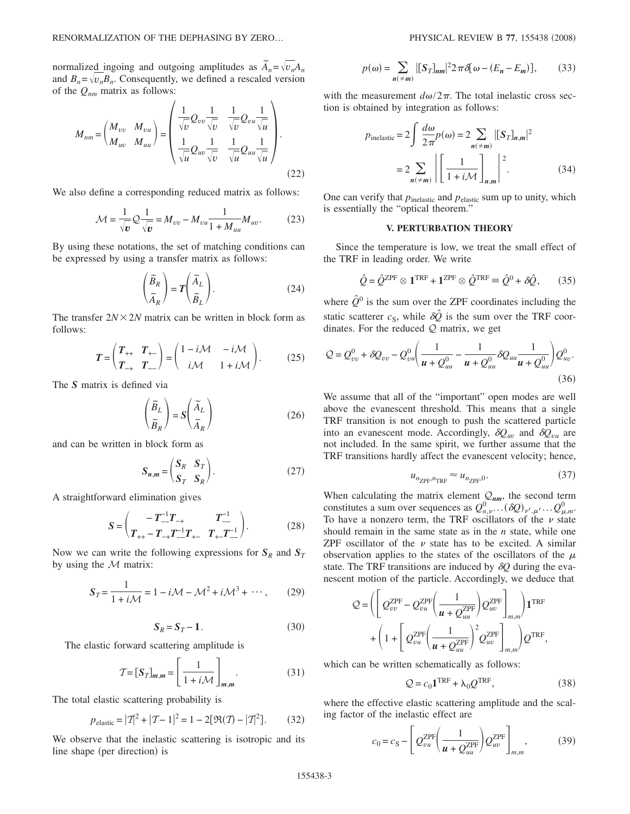normalized ingoing and outgoing amplitudes as  $\tilde{A}_n = \sqrt{v_n} A_n$ and  $B_n = \sqrt{v_n B_n}$ . Consequently, we defined a rescaled version of the *Qnm* matrix as follows:

$$
M_{nm} = \begin{pmatrix} M_{vv} & M_{vu} \\ M_{uv} & M_{uu} \end{pmatrix} = \begin{pmatrix} \frac{1}{\sqrt{v}} Q_{vv} \frac{1}{\sqrt{v}} & \frac{1}{\sqrt{v}} Q_{vu} \frac{1}{\sqrt{u}} \\ \frac{1}{\sqrt{u}} Q_{uv} \frac{1}{\sqrt{v}} & \frac{1}{\sqrt{u}} Q_{uu} \frac{1}{\sqrt{u}} \end{pmatrix}.
$$
\n(22)

We also define a corresponding reduced matrix as follows:

$$
\mathcal{M} = \frac{1}{\sqrt{v}} Q \frac{1}{\sqrt{v}} = M_{vv} - M_{vu} \frac{1}{1 + M_{uu}} M_{uv}.
$$
 (23)

By using these notations, the set of matching conditions can be expressed by using a transfer matrix as follows:

$$
\begin{pmatrix} \widetilde{B}_R \\ \widetilde{A}_R \end{pmatrix} = T \begin{pmatrix} \widetilde{A}_L \\ \widetilde{B}_L \end{pmatrix} . \tag{24}
$$

The transfer  $2N \times 2N$  matrix can be written in block form as follows:

$$
T = \begin{pmatrix} T_{++} & T_{+-} \\ T_{-+} & T_{--} \end{pmatrix} = \begin{pmatrix} 1 - i\mathcal{M} & -i\mathcal{M} \\ i\mathcal{M} & 1 + i\mathcal{M} \end{pmatrix} . \tag{25}
$$

The *S* matrix is defined via

$$
\left(\frac{\widetilde{B}_L}{\widetilde{B}_R}\right) = S\left(\frac{\widetilde{A}_L}{\widetilde{A}_R}\right) \tag{26}
$$

and can be written in block form as

$$
S_{n,m} = \begin{pmatrix} S_R & S_T \\ S_T & S_R \end{pmatrix} . \tag{27}
$$

A straightforward elimination gives

$$
S = \begin{pmatrix} -T_{-}^{-1}T_{-+} & T_{--}^{-1} \\ T_{++} - T_{-+}T_{--}^{-1}T_{+-} & T_{+-}T_{--}^{-1} \end{pmatrix}.
$$
 (28)

Now we can write the following expressions for  $S_R$  and  $S_T$ by using the  $M$  matrix:

$$
\mathbf{S}_T = \frac{1}{1 + i\mathcal{M}} = 1 - i\mathcal{M} - \mathcal{M}^2 + i\mathcal{M}^3 + \cdots, \qquad (29)
$$

$$
S_R = S_T - 1. \tag{30}
$$

The elastic forward scattering amplitude is

$$
\mathcal{T} = [\mathbf{S}_T]_{m,m} = \left[\frac{1}{1 + i\mathcal{M}}\right]_{m,m}.
$$
 (31)

The total elastic scattering probability is

$$
p_{\text{elastic}} = |T|^2 + |T - 1|^2 = 1 - 2[\Re(T) - |T|^2].\tag{32}
$$

We observe that the inelastic scattering is isotropic and its line shape (per direction) is

$$
p(\omega) = \sum_{n(\neq m)} \left[ \left[ S_T \right]_{nm} \right]^2 2 \pi \delta[\omega - (E_n - E_m)],\tag{33}
$$

with the measurement  $d\omega/2\pi$ . The total inelastic cross section is obtained by integration as follows:

$$
p_{\text{inelastic}} = 2 \int \frac{d\omega}{2\pi} p(\omega) = 2 \sum_{n(\neq m)} |[S_T]_{n,m}|^2
$$

$$
= 2 \sum_{n(\neq m)} | \left[ \frac{1}{1 + i \mathcal{M}} \right]_{n,m} |^2. \tag{34}
$$

One can verify that  $p_{\text{inelastic}}$  and  $p_{\text{elastic}}$  sum up to unity, which is essentially the "optical theorem."

### **V. PERTURBATION THEORY**

Since the temperature is low, we treat the small effect of the TRF in leading order. We write

$$
\hat{Q} = \hat{Q}^{\text{ZPF}} \otimes \mathbf{1}^{\text{TRF}} + \mathbf{1}^{\text{ZPF}} \otimes \hat{Q}^{\text{TRF}} \equiv \hat{Q}^0 + \delta \hat{Q}, \qquad (35)
$$

where  $\hat{Q}^0$  is the sum over the ZPF coordinates including the static scatterer  $c_S$ , while  $\delta \hat{Q}$  is the sum over the TRF coordinates. For the reduced  $Q$  matrix, we get

$$
Q = Q_{vv}^{0} + \delta Q_{vv} - Q_{vu}^{0} \left( \frac{1}{u + Q_{uu}^{0}} - \frac{1}{u + Q_{uu}^{0}} \delta Q_{uu} \frac{1}{u + Q_{uu}^{0}} \right) Q_{uv}^{0}.
$$
\n(36)

We assume that all of the "important" open modes are well above the evanescent threshold. This means that a single TRF transition is not enough to push the scattered particle into an evanescent mode. Accordingly,  $\delta Q_{uv}$  and  $\delta Q_{vu}$  are not included. In the same spirit, we further assume that the TRF transitions hardly affect the evanescent velocity; hence,

$$
u_{n_{\text{ZPF}}, n_{\text{TRF}}} \approx u_{n_{\text{ZPF}}, 0}.\tag{37}
$$

When calculating the matrix element  $Q_{nm}$ , the second term constitutes a sum over sequences as  $Q_{n,\nu}^0$ ... $(\delta Q)_{\nu',\mu'}$ ... $Q_{\mu,m}^0$ . To have a nonzero term, the TRF oscillators of the  $\nu$  state should remain in the same state as in the *n* state, while one ZPF oscillator of the  $\nu$  state has to be excited. A similar observation applies to the states of the oscillators of the  $\mu$ state. The TRF transitions are induced by  $\delta Q$  during the evanescent motion of the particle. Accordingly, we deduce that

$$
\begin{aligned} \mathcal{Q} = & \left(\left[ \mathcal{Q}_{vv}^{\text{ZPF}} - \mathcal{Q}_{vu}^{\text{ZPF}} \left( \frac{1}{\boldsymbol{u} + \mathcal{Q}_{uu}^{\text{ZPF}}}\right) \mathcal{Q}_{uv}^{\text{ZPF}} \right]_{m,m} \right) \mathbf{1}^{\text{TRF}} \\ + & \left(1 + \left[ \mathcal{Q}_{vu}^{\text{ZPF}} \left( \frac{1}{\boldsymbol{u} + \mathcal{Q}_{uu}^{\text{ZPF}}}\right)^2 \mathcal{Q}_{uv}^{\text{ZPF}} \right]_{m,m} \right) \mathcal{Q}^{\text{TRF}}, \end{aligned}
$$

<span id="page-2-0"></span>which can be written schematically as follows:

$$
Q = c_0 \mathbf{1}^{\text{TRF}} + \lambda_0 Q^{\text{TRF}}, \tag{38}
$$

<span id="page-2-1"></span>where the effective elastic scattering amplitude and the scaling factor of the inelastic effect are

$$
c_0 = c_S - \left[ Q_{vu}^{\text{ZPF}} \left( \frac{1}{u + Q_{uu}^{\text{ZPF}}} \right) Q_{uv}^{\text{ZPF}} \right]_{m,m},
$$
 (39)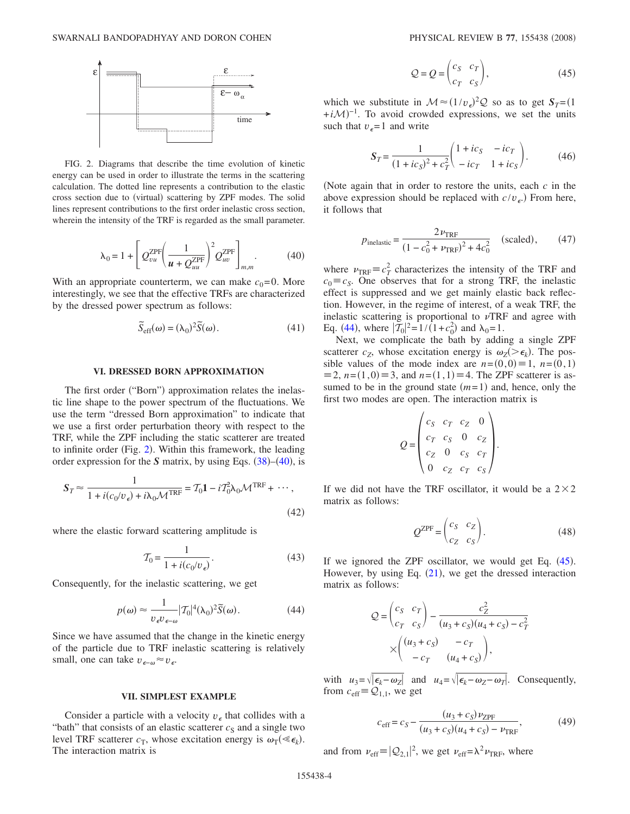<span id="page-3-0"></span>

FIG. 2. Diagrams that describe the time evolution of kinetic energy can be used in order to illustrate the terms in the scattering calculation. The dotted line represents a contribution to the elastic cross section due to (virtual) scattering by ZPF modes. The solid lines represent contributions to the first order inelastic cross section, wherein the intensity of the TRF is regarded as the small parameter.

$$
\lambda_0 = 1 + \left[ Q_{vu}^{\text{ZPF}} \left( \frac{1}{u + Q_{uu}^{\text{ZPF}}} \right)^2 Q_{uv}^{\text{ZPF}} \right]_{m,m} . \tag{40}
$$

<span id="page-3-1"></span>With an appropriate counterterm, we can make  $c_0 = 0$ . More interestingly, we see that the effective TRFs are characterized by the dressed power spectrum as follows:

$$
\widetilde{S}_{\rm eff}(\omega) = (\lambda_0)^2 \widetilde{S}(\omega). \tag{41}
$$

### **VI. DRESSED BORN APPROXIMATION**

The first order ("Born") approximation relates the inelastic line shape to the power spectrum of the fluctuations. We use the term "dressed Born approximation" to indicate that we use a first order perturbation theory with respect to the TRF, while the ZPF including the static scatterer are treated to infinite order (Fig. [2](#page-3-0)). Within this framework, the leading order expression for the  $S$  matrix, by using Eqs.  $(38)$  $(38)$  $(38)$ – $(40)$  $(40)$  $(40)$ , is

$$
S_T \approx \frac{1}{1 + i(c_0/v_\epsilon) + i\lambda_0 \mathcal{M}^{\text{TRF}}} = T_0 \mathbf{1} - i T_0^2 \lambda_0 \mathcal{M}^{\text{TRF}} + \cdots,
$$
\n(42)

where the elastic forward scattering amplitude is

$$
\mathcal{T}_0 = \frac{1}{1 + i(c_0/v_\epsilon)}.\tag{43}
$$

<span id="page-3-2"></span>Consequently, for the inelastic scattering, we get

$$
p(\omega) \approx \frac{1}{v_{\epsilon}v_{\epsilon-\omega}} |T_0|^4 (\lambda_0)^2 \tilde{S}(\omega).
$$
 (44)

Since we have assumed that the change in the kinetic energy of the particle due to TRF inelastic scattering is relatively small, one can take  $v_{\epsilon-\omega} \approx v_{\epsilon}$ .

### **VII. SIMPLEST EXAMPLE**

Consider a particle with a velocity  $v_{\epsilon}$  that collides with a "bath" that consists of an elastic scatterer  $c_S$  and a single two level TRF scatterer  $c_T$ , whose excitation energy is  $\omega_T(\lll \epsilon_k)$ . The interaction matrix is

$$
Q = Q = \begin{pmatrix} c_S & c_T \\ c_T & c_S \end{pmatrix},
$$
(45)

<span id="page-3-3"></span>which we substitute in  $M \approx (1/v_e)^2 Q$  so as to get  $S_T = (1$  $+i\mathcal{M}$ <sup>-1</sup>. To avoid crowded expressions, we set the units such that  $v_{\epsilon}$ = 1 and write

$$
S_T = \frac{1}{(1 + ic_S)^2 + c_T^2} \left( \frac{1 + ic_S - ic_T}{-ic_T} \right). \tag{46}
$$

<span id="page-3-4"></span>Note again that in order to restore the units, each *c* in the above expression should be replaced with  $c/v_{\epsilon}$ . From here, it follows that

$$
p_{\text{inelastic}} = \frac{2 \nu_{\text{TRF}}}{(1 - c_0^2 + \nu_{\text{TRF}})^2 + 4c_0^2} \quad \text{(scaled)},\tag{47}
$$

where  $v_{\text{TRF}} = c_T^2$  characterizes the intensity of the TRF and  $c_0 \equiv c_S$ . One observes that for a strong TRF, the inelastic effect is suppressed and we get mainly elastic back reflection. However, in the regime of interest, of a weak TRF, the inelastic scattering is proportional to  $\nu$ TRF and agree with Eq. ([44](#page-3-2)), where  $|\mathcal{T}_0|^2 = 1/(1+c_0^2)$  and  $\lambda_0 = 1$ .

Next, we complicate the bath by adding a single ZPF scatterer  $c_z$ , whose excitation energy is  $\omega_z$   $(\geq \epsilon_k)$ . The possible values of the mode index are  $n=(0,0) \equiv 1$ ,  $n=(0,1)$  $\equiv$  2,  $n = (1, 0) = 3$ , and  $n = (1, 1) = 4$ . The ZPF scatterer is assumed to be in the ground state  $(m=1)$  and, hence, only the first two modes are open. The interaction matrix is

$$
Q = \begin{pmatrix} c_S & c_T & c_Z & 0 \\ c_T & c_S & 0 & c_Z \\ c_Z & 0 & c_S & c_T \\ 0 & c_Z & c_T & c_S \end{pmatrix}.
$$

If we did not have the TRF oscillator, it would be a  $2 \times 2$ matrix as follows:

$$
Q^{\text{ZPF}} = \begin{pmatrix} c_S & c_Z \\ c_Z & c_S \end{pmatrix} . \tag{48}
$$

If we ignored the ZPF oscillator, we would get Eq.  $(45)$  $(45)$  $(45)$ . However, by using Eq.  $(21)$  $(21)$  $(21)$ , we get the dressed interaction matrix as follows:

$$
Q = \begin{pmatrix} c_S & c_T \\ c_T & c_S \end{pmatrix} - \frac{c_Z^2}{(u_3 + c_S)(u_4 + c_S) - c_T^2}
$$
\n
$$
\times \begin{pmatrix} (u_3 + c_S) & -c_T \\ -c_T & (u_4 + c_S) \end{pmatrix},
$$

with  $u_3 = \sqrt{|\epsilon_k - \omega_z|}$  and  $u_4 = \sqrt{|\epsilon_k - \omega_z - \omega_T|}$ . Consequently, from  $c_{\text{eff}} \equiv \mathcal{Q}_{1,1}$ , we get

$$
c_{\text{eff}} = c_S - \frac{(u_3 + c_S)v_{\text{ZPF}}}{(u_3 + c_S)(u_4 + c_S) - v_{\text{TRF}}},\tag{49}
$$

and from  $\nu_{\text{eff}} = |Q_{2,1}|^2$ , we get  $\nu_{\text{eff}} = \lambda^2 \nu_{\text{TRF}}$ , where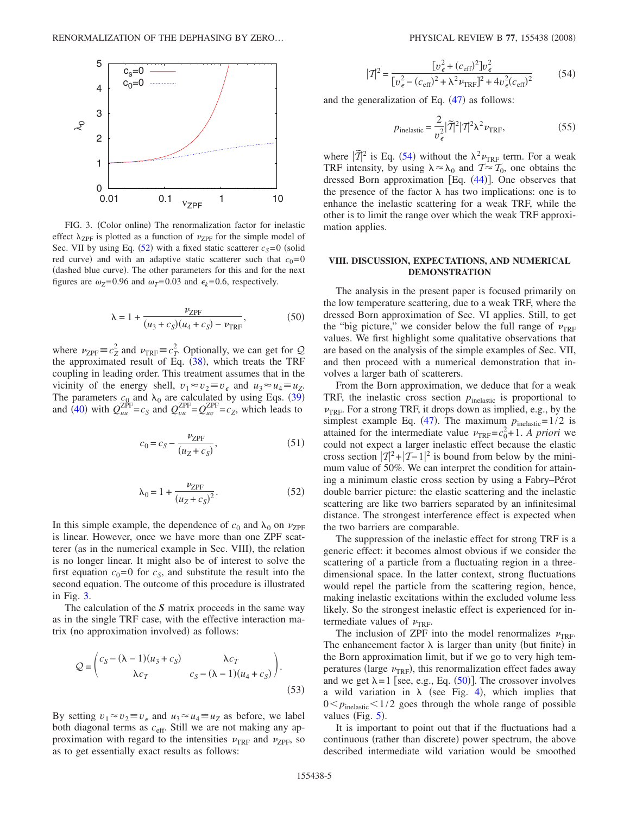<span id="page-4-0"></span>

FIG. 3. (Color online) The renormalization factor for inelastic effect  $\lambda_{ZPF}$  is plotted as a function of  $\nu_{ZPF}$  for the simple model of Sec. VII by using Eq.  $(52)$  $(52)$  $(52)$  with a fixed static scatterer  $c_s = 0$  (solid red curve) and with an adaptive static scatterer such that  $c_0=0$ (dashed blue curve). The other parameters for this and for the next figures are  $\omega_Z$ =0.96 and  $\omega_T$ =0.03 and  $\epsilon_k$ =0.6, respectively.

$$
\lambda = 1 + \frac{\nu_{\text{ZPF}}}{(u_3 + c_S)(u_4 + c_S) - \nu_{\text{TRF}}},\tag{50}
$$

<span id="page-4-2"></span>where  $\nu_{\text{ZPF}} \equiv c_Z^2$  and  $\nu_{\text{TRF}} \equiv c_T^2$ . Optionally, we can get for Q the approximated result of Eq.  $(38)$  $(38)$  $(38)$ , which treats the TRF coupling in leading order. This treatment assumes that in the vicinity of the energy shell,  $v_1 \approx v_2 \equiv v_\epsilon$  and  $u_3 \approx u_4 \equiv u_Z$ . The parameters  $c_0$  and  $\lambda_0$  are calculated by using Eqs. ([39](#page-2-1)) and ([40](#page-3-1)) with  $Q_{uu}^{\text{ZPF}} = c_S$  and  $Q_{vu}^{\text{ZPF}} = Q_{uv}^{\text{ZPF}} = c_Z$ , which leads to

$$
c_0 = c_S - \frac{\nu_{\rm ZPF}}{(u_Z + c_S)},
$$
\n(51)

$$
\lambda_0 = 1 + \frac{\nu_{\text{ZPF}}}{(\mu_Z + c_S)^2}.
$$
 (52)

<span id="page-4-3"></span>In this simple example, the dependence of  $c_0$  and  $\lambda_0$  on  $\nu_{ZPF}$ is linear. However, once we have more than one ZPF scatterer (as in the numerical example in Sec. VIII), the relation is no longer linear. It might also be of interest to solve the first equation  $c_0=0$  for  $c_s$ , and substitute the result into the second equation. The outcome of this procedure is illustrated in Fig. [3.](#page-4-0)

The calculation of the *S* matrix proceeds in the same way as in the single TRF case, with the effective interaction matrix (no approximation involved) as follows:

$$
Q = \begin{pmatrix} c_S - (\lambda - 1)(u_3 + c_S) & \lambda c_T \\ \lambda c_T & c_S - (\lambda - 1)(u_4 + c_S) \end{pmatrix}.
$$
\n(53)

By setting  $v_1 \approx v_2 \equiv v_\epsilon$  and  $u_3 \approx u_4 \equiv u_Z$  as before, we label both diagonal terms as  $c_{\text{eff}}$ . Still we are not making any approximation with regard to the intensities  $\nu_{\text{TRF}}$  and  $\nu_{\text{ZPF}}$ , so as to get essentially exact results as follows:

$$
|T|^2 = \frac{[v_{\epsilon}^2 + (c_{\text{eff}})^2]v_{\epsilon}^2}{[v_{\epsilon}^2 - (c_{\text{eff}})^2 + \lambda^2 v_{\text{TRF}}]^2 + 4v_{\epsilon}^2 (c_{\text{eff}})^2}
$$
(54)

<span id="page-4-1"></span>and the generalization of Eq.  $(47)$  $(47)$  $(47)$  as follows:

$$
p_{\text{inelastic}} = \frac{2}{v_{\epsilon}^2} |\tilde{T}|^2 |T|^2 \lambda^2 \nu_{\text{TRF}},\tag{55}
$$

where  $|\tilde{T}|^2$  is Eq. ([54](#page-4-1)) without the  $\lambda^2 \nu_{\text{TRF}}$  term. For a weak TRF intensity, by using  $\lambda \approx \lambda_0$  and  $T \approx T_0$ , one obtains the dressed Born approximation  $[Eq. (44)]$  $[Eq. (44)]$  $[Eq. (44)]$ . One observes that the presence of the factor  $\lambda$  has two implications: one is to enhance the inelastic scattering for a weak TRF, while the other is to limit the range over which the weak TRF approximation applies.

# **VIII. DISCUSSION, EXPECTATIONS, AND NUMERICAL DEMONSTRATION**

The analysis in the present paper is focused primarily on the low temperature scattering, due to a weak TRF, where the dressed Born approximation of Sec. VI applies. Still, to get the "big picture," we consider below the full range of  $\nu_{\text{TRF}}$ values. We first highlight some qualitative observations that are based on the analysis of the simple examples of Sec. VII, and then proceed with a numerical demonstration that involves a larger bath of scatterers.

From the Born approximation, we deduce that for a weak TRF, the inelastic cross section *p*inelastic is proportional to  $\nu_{\text{TRF}}$ . For a strong TRF, it drops down as implied, e.g., by the simplest example Eq. ([47](#page-3-4)). The maximum  $p_{\text{inelastic}} = 1/2$  is attained for the intermediate value  $v_{\text{TRF}} = c_0^2 + 1$ . *A priori* we could not expect a larger inelastic effect because the elastic cross section  $|T|^2 + |T-1|^2$  is bound from below by the minimum value of 50%. We can interpret the condition for attaining a minimum elastic cross section by using a Fabry–Pérot double barrier picture: the elastic scattering and the inelastic scattering are like two barriers separated by an infinitesimal distance. The strongest interference effect is expected when the two barriers are comparable.

The suppression of the inelastic effect for strong TRF is a generic effect: it becomes almost obvious if we consider the scattering of a particle from a fluctuating region in a threedimensional space. In the latter context, strong fluctuations would repel the particle from the scattering region, hence, making inelastic excitations within the excluded volume less likely. So the strongest inelastic effect is experienced for intermediate values of  $\nu_{\text{TRF}}$ .

The inclusion of ZPF into the model renormalizes  $\nu_{\text{TRF}}$ . The enhancement factor  $\lambda$  is larger than unity (but finite) in the Born approximation limit, but if we go to very high temperatures (large  $\nu_{\text{TRF}}$ ), this renormalization effect fades away and we get  $\lambda = 1$  [see, e.g., Eq. ([50](#page-4-2))]. The crossover involves a wild variation in  $\lambda$  (see Fig. [4](#page-5-0)), which implies that  $0 < p_{\text{inelastic}} < 1/2$  goes through the whole range of possible values (Fig.  $5$ ).

It is important to point out that if the fluctuations had a continuous (rather than discrete) power spectrum, the above described intermediate wild variation would be smoothed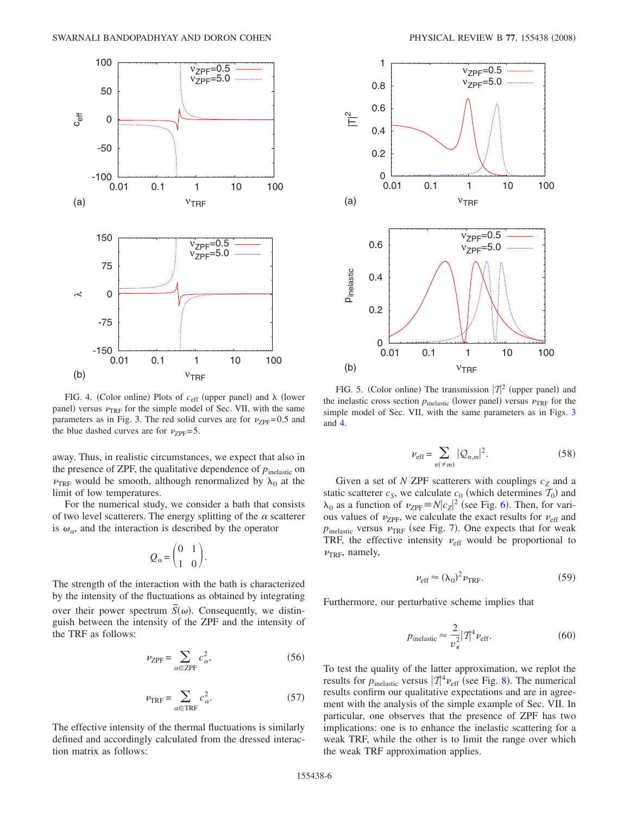<span id="page-5-0"></span>

FIG. 4. (Color online) Plots of  $c_{\text{eff}}$  (upper panel) and  $\lambda$  (lower panel) versus  $v_{\text{TRF}}$  for the simple model of Sec. VII, with the same parameters as in Fig. [3.](#page-4-0) The red solid curves are for  $\nu_{ZPF}=0.5$  and the blue dashed curves are for  $v_{ZPF}=5$ .

away. Thus, in realistic circumstances, we expect that also in the presence of ZPF, the qualitative dependence of  $p_{\text{inelastic}}$  on  $\nu_{\text{TRF}}$  would be smooth, although renormalized by  $\lambda_0$  at the limit of low temperatures.

For the numerical study, we consider a bath that consists of two level scatterers. The energy splitting of the  $\alpha$  scatterer is  $\omega_{\alpha}$ , and the interaction is described by the operator

$$
Q_{\alpha} = \begin{pmatrix} 0 & 1 \\ 1 & 0 \end{pmatrix}.
$$

The strength of the interaction with the bath is characterized by the intensity of the fluctuations as obtained by integrating over their power spectrum  $\tilde{S}(\omega)$ . Consequently, we distinguish between the intensity of the ZPF and the intensity of the TRF as follows:

$$
\nu_{\rm ZPF} = \sum_{\alpha \in \rm ZPF} c_{\alpha}^2,\tag{56}
$$

$$
\nu_{\rm TRF} = \sum_{\alpha \in \rm TRF} c_{\alpha}^2.
$$
 (57)

The effective intensity of the thermal fluctuations is similarly defined and accordingly calculated from the dressed interaction matrix as follows:

<span id="page-5-1"></span>

FIG. 5. (Color online) The transmission  $|T|^2$  (upper panel) and the inelastic cross section  $p_{\text{inelastic}}$  (lower panel) versus  $v_{\text{TRF}}$  for the simple model of Sec. VII, with the same parameters as in Figs. [3](#page-4-0) and [4.](#page-5-0)

$$
\nu_{\rm eff} = \sum_{n(\neq m)} |\mathcal{Q}_{n,m}|^2.
$$
 (58)

Given a set of *N* ZPF scatterers with couplings  $c_Z$  and a static scatterer  $c_S$ , we calculate  $c_0$  (which determines  $T_0$ ) and  $\lambda_0$  as a function of  $\nu_{\text{ZPF}} = N |c_Z|^2$  (see Fig. [6](#page-6-0)). Then, for various values of  $\nu_{\rm ZPF}$ , we calculate the exact results for  $\nu_{\rm eff}$  and  $p_{\text{inelastic}}$  versus  $\nu_{\text{TRF}}$  (see Fig. [7](#page-6-1)). One expects that for weak TRF, the effective intensity  $v_{\text{eff}}$  would be proportional to  $\nu_{\text{TRF}}$ , namely,

$$
\nu_{\rm eff} \approx (\lambda_0)^2 \nu_{\rm TRF}.
$$
 (59)

Furthermore, our perturbative scheme implies that

$$
p_{\text{inelastic}} \approx \frac{2}{v_{\epsilon}^2} |T|^4 \nu_{\text{eff}}.\tag{60}
$$

To test the quality of the latter approximation, we replot the results for  $p_{\text{inelastic}}$  versus  $|T|^4 \nu_{\text{eff}}$  (see Fig. [8](#page-7-17)). The numerical results confirm our qualitative expectations and are in agreement with the analysis of the simple example of Sec. VII. In particular, one observes that the presence of ZPF has two implications: one is to enhance the inelastic scattering for a weak TRF, while the other is to limit the range over which the weak TRF approximation applies.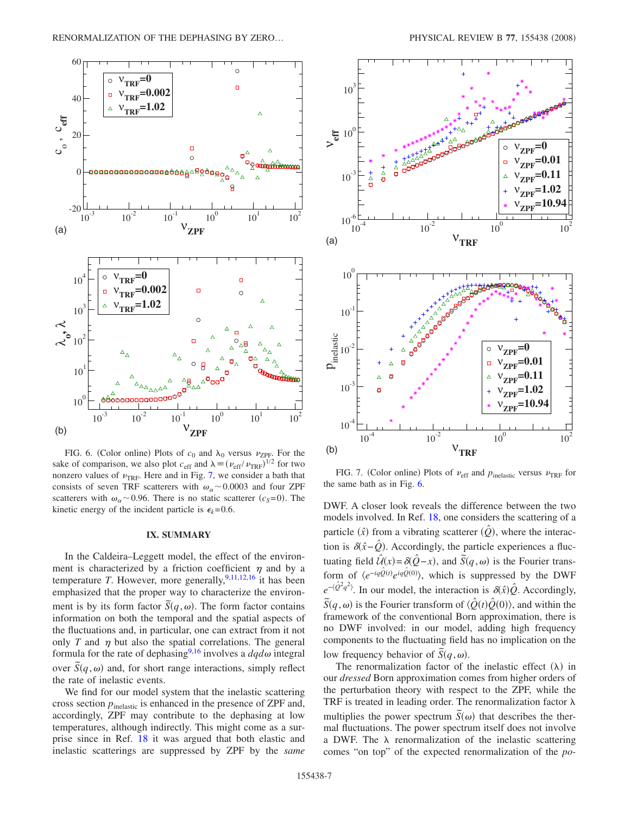<span id="page-6-0"></span>

FIG. 6. (Color online) Plots of  $c_0$  and  $\lambda_0$  versus  $\nu_{\text{ZPF}}$ . For the sake of comparison, we also plot  $c_{\text{eff}}$  and  $\lambda = (\nu_{\text{eff}}/\nu_{\text{TRF}})^{1/2}$  for two nonzero values of  $\nu_{\text{TRF}}$ . Here and in Fig. [7,](#page-6-1) we consider a bath that consists of seven TRF scatterers with  $\omega_{\alpha}$  ~ 0.0003 and four ZPF scatterers with  $\omega_{\alpha}$  ~ 0.96. There is no static scatterer *(c<sub>S</sub>*=0). The kinetic energy of the incident particle is  $\epsilon_k$ = 0.6.

#### **IX. SUMMARY**

In the Caldeira–Leggett model, the effect of the environment is characterized by a friction coefficient  $\eta$  and by a temperature *T*. However, more generally,  $9,11,12,16$  $9,11,12,16$  $9,11,12,16$  $9,11,12,16$  it has been emphasized that the proper way to characterize the environment is by its form factor  $\tilde{S}(q,\omega)$ . The form factor contains information on both the temporal and the spatial aspects of the fluctuations and, in particular, one can extract from it not only *T* and  $\eta$  but also the spatial correlations. The general formula for the rate of dephasing<sup>9[,16](#page-7-13)</sup> involves a  $dqd\omega$  integral over  $\tilde{S}(q,\omega)$  and, for short range interactions, simply reflect the rate of inelastic events.

We find for our model system that the inelastic scattering cross section  $p_{\text{inelastic}}$  is enhanced in the presence of ZPF and, accordingly, ZPF may contribute to the dephasing at low temperatures, although indirectly. This might come as a surprise since in Ref. [18](#page-7-15) it was argued that both elastic and inelastic scatterings are suppressed by ZPF by the *same*

<span id="page-6-1"></span>

FIG. 7. (Color online) Plots of  $\nu_{\text{eff}}$  and  $p_{\text{inelastic}}$  versus  $\nu_{\text{TRF}}$  for the same bath as in Fig. [6.](#page-6-0)

DWF. A closer look reveals the difference between the two models involved. In Ref. [18,](#page-7-15) one considers the scattering of a particle  $(\hat{x})$  from a vibrating scatterer  $(\hat{Q})$ , where the interaction is  $\delta(\hat{x}-\hat{Q})$ . Accordingly, the particle experiences a fluctuating field  $\hat{U}(x) = \delta(\hat{Q} - x)$ , and  $\tilde{S}(q, \omega)$  is the Fourier transform of  $\langle e^{-iq\hat{Q}(t)}e^{iq\hat{Q}(0)}\rangle$ , which is suppressed by the DWF  $e^{-(\hat{Q}^2 q^2)}$ . In our model, the interaction is  $\delta(\hat{x})\hat{Q}$ . Accordingly,  $\tilde{S}(q,\omega)$  is the Fourier transform of  $\langle \hat{Q}(t)\hat{Q}(0)\rangle$ , and within the framework of the conventional Born approximation, there is no DWF involved: in our model, adding high frequency components to the fluctuating field has no implication on the low frequency behavior of  $\tilde{S}(q,\omega)$ .

The renormalization factor of the inelastic effect  $(\lambda)$  in our *dressed* Born approximation comes from higher orders of the perturbation theory with respect to the ZPF, while the TRF is treated in leading order. The renormalization factor  $\lambda$ multiplies the power spectrum  $\tilde{S}(\omega)$  that describes the thermal fluctuations. The power spectrum itself does not involve a DWF. The  $\lambda$  renormalization of the inelastic scattering comes "on top" of the expected renormalization of the *po-*